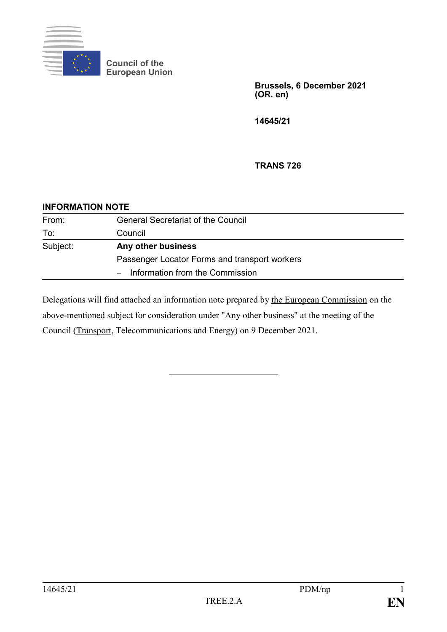

**Council of the European Union**

> **Brussels, 6 December 2021 (OR. en)**

**14645/21**

**TRANS 726**

## **INFORMATION NOTE**

| From:    | <b>General Secretariat of the Council</b>     |
|----------|-----------------------------------------------|
| To:      | Council                                       |
| Subject: | Any other business                            |
|          | Passenger Locator Forms and transport workers |
|          | $-$ Information from the Commission           |

Delegations will find attached an information note prepared by the European Commission on the above-mentioned subject for consideration under "Any other business" at the meeting of the Council (Transport, Telecommunications and Energy) on 9 December 2021.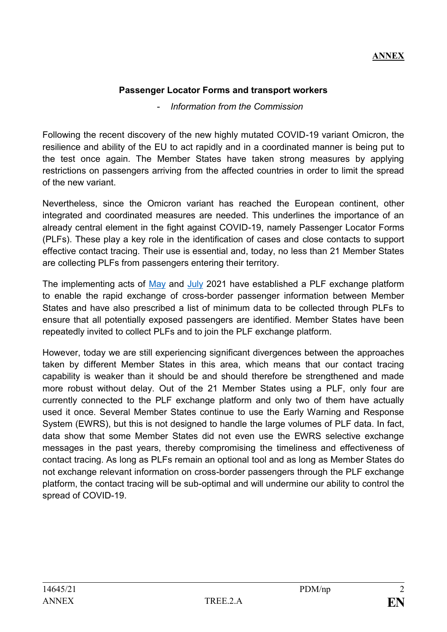## **ANNEX**

## **Passenger Locator Forms and transport workers**

## - *Information from the Commission*

Following the recent discovery of the new highly mutated COVID-19 variant Omicron, the resilience and ability of the EU to act rapidly and in a coordinated manner is being put to the test once again. The Member States have taken strong measures by applying restrictions on passengers arriving from the affected countries in order to limit the spread of the new variant.

Nevertheless, since the Omicron variant has reached the European continent, other integrated and coordinated measures are needed. This underlines the importance of an already central element in the fight against COVID-19, namely Passenger Locator Forms (PLFs). These play a key role in the identification of cases and close contacts to support effective contact tracing. Their use is essential and, today, no less than 21 Member States are collecting PLFs from passengers entering their territory.

The implementing acts of [May](https://eur-lex.europa.eu/legal-content/EN/TXT/?toc=OJ%3AL%3A2021%3A188%3ATOC&uri=uriserv%3AOJ.L_.2021.188.01.0106.01.ENG) and [July](https://eur-lex.europa.eu/legal-content/EN/TXT/?uri=CELEX%3A32021D1212#:~:text=Implementing%20Decision%20%28EU%29%202021%2F858%20defines%20in%20Annex%20I,effective%20cross-border%20contact%20tracing%20based%20on%20PLF%20data.) 2021 have established a PLF exchange platform to enable the rapid exchange of cross-border passenger information between Member States and have also prescribed a list of minimum data to be collected through PLFs to ensure that all potentially exposed passengers are identified. Member States have been repeatedly invited to collect PLFs and to join the PLF exchange platform.

However, today we are still experiencing significant divergences between the approaches taken by different Member States in this area, which means that our contact tracing capability is weaker than it should be and should therefore be strengthened and made more robust without delay. Out of the 21 Member States using a PLF, only four are currently connected to the PLF exchange platform and only two of them have actually used it once. Several Member States continue to use the Early Warning and Response System (EWRS), but this is not designed to handle the large volumes of PLF data. In fact, data show that some Member States did not even use the EWRS selective exchange messages in the past years, thereby compromising the timeliness and effectiveness of contact tracing. As long as PLFs remain an optional tool and as long as Member States do not exchange relevant information on cross-border passengers through the PLF exchange platform, the contact tracing will be sub-optimal and will undermine our ability to control the spread of COVID-19.